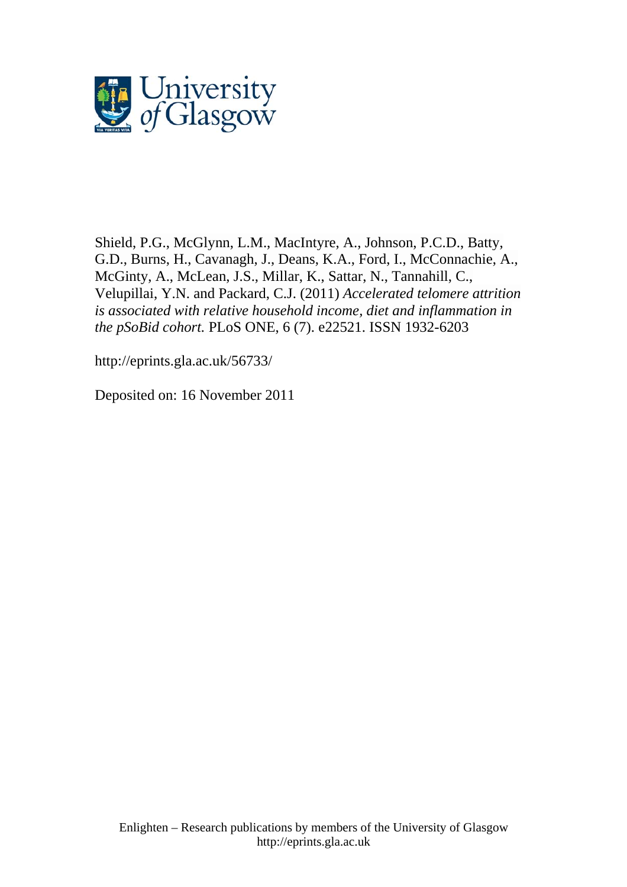

Shield, P.G., McGlynn, L.M., MacIntyre, A., Johnson, P.C.D., Batty, G.D., Burns, H., Cavanagh, J., Deans, K.A., Ford, I., McConnachie, A., McGinty, A., McLean, J.S., Millar, K., Sattar, N., Tannahill, C., Velupillai, Y.N. and Packard, C.J. (2011) *Accelerated telomere attrition is associated with relative household income, diet and inflammation in the pSoBid cohort.* [PLoS ONE](http://eprints.gla.ac.uk/view/journal_volume/PLoS_ONE.html), 6 (7). e22521. ISSN 1932-6203

<http://eprints.gla.ac.uk/56733/>

Deposited on: 16 November 2011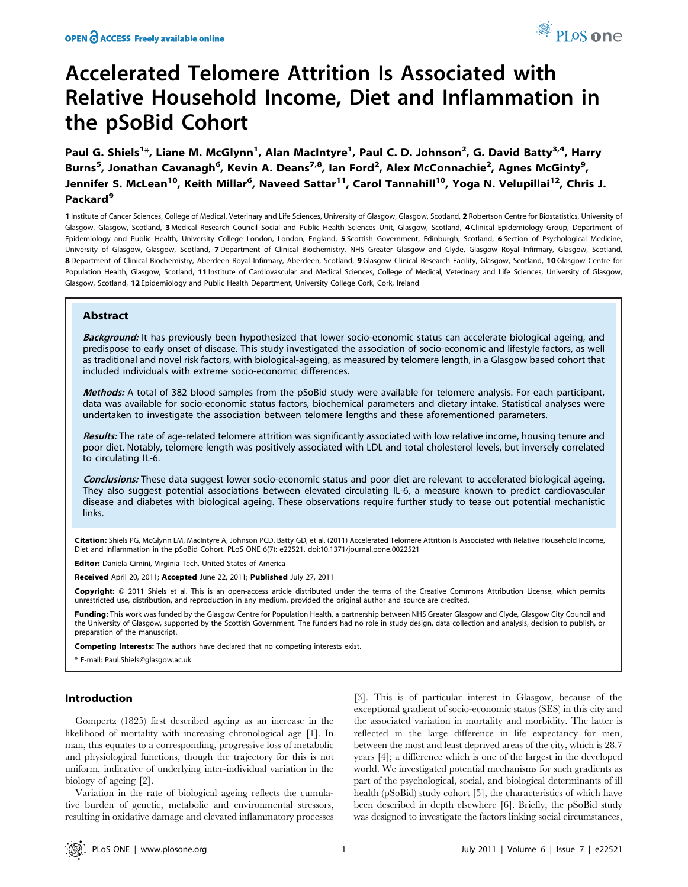# Accelerated Telomere Attrition Is Associated with Relative Household Income, Diet and Inflammation in the pSoBid Cohort

Paul G. Shiels<sup>1</sup>\*, Liane M. McGlynn<sup>1</sup>, Alan MacIntyre<sup>1</sup>, Paul C. D. Johnson<sup>2</sup>, G. David Batty<sup>3,4</sup>, Harry Burns<sup>5</sup>, Jonathan Cavanagh<sup>6</sup>, Kevin A. Deans<sup>7,8</sup>, Ian Ford<sup>2</sup>, Alex McConnachie<sup>2</sup>, Agnes McGinty<sup>9</sup>, Jennifer S. McLean<sup>10</sup>, Keith Millar<sup>6</sup>, Naveed Sattar<sup>11</sup>, Carol Tannahill<sup>10</sup>, Yoga N. Velupillai<sup>12</sup>, Chris J. Packard<sup>9</sup>

1 Institute of Cancer Sciences, College of Medical, Veterinary and Life Sciences, University of Glasgow, Glasgow, Scotland, 2 Robertson Centre for Biostatistics, University of Glasgow, Glasgow, Scotland, 3 Medical Research Council Social and Public Health Sciences Unit, Glasgow, Scotland, 4 Clinical Epidemiology Group, Department of Epidemiology and Public Health, University College London, London, England, 5 Scottish Government, Edinburgh, Scotland, 6 Section of Psychological Medicine, University of Glasgow, Glasgow, Scotland, 7Department of Clinical Biochemistry, NHS Greater Glasgow and Clyde, Glasgow Royal Infirmary, Glasgow, Scotland, 8 Department of Clinical Biochemistry, Aberdeen Royal Infirmary, Aberdeen, Scotland, 9 Glasgow Clinical Research Facility, Glasgow, Scotland, 10 Glasgow Centre for Population Health, Glasgow, Scotland, 11 Institute of Cardiovascular and Medical Sciences, College of Medical, Veterinary and Life Sciences, University of Glasgow, Glasgow, Scotland, 12 Epidemiology and Public Health Department, University College Cork, Cork, Ireland

# Abstract

Background: It has previously been hypothesized that lower socio-economic status can accelerate biological ageing, and predispose to early onset of disease. This study investigated the association of socio-economic and lifestyle factors, as well as traditional and novel risk factors, with biological-ageing, as measured by telomere length, in a Glasgow based cohort that included individuals with extreme socio-economic differences.

Methods: A total of 382 blood samples from the pSoBid study were available for telomere analysis. For each participant, data was available for socio-economic status factors, biochemical parameters and dietary intake. Statistical analyses were undertaken to investigate the association between telomere lengths and these aforementioned parameters.

Results: The rate of age-related telomere attrition was significantly associated with low relative income, housing tenure and poor diet. Notably, telomere length was positively associated with LDL and total cholesterol levels, but inversely correlated to circulating IL-6.

Conclusions: These data suggest lower socio-economic status and poor diet are relevant to accelerated biological ageing. They also suggest potential associations between elevated circulating IL-6, a measure known to predict cardiovascular disease and diabetes with biological ageing. These observations require further study to tease out potential mechanistic links.

Citation: Shiels PG, McGlynn LM, MacIntyre A, Johnson PCD, Batty GD, et al. (2011) Accelerated Telomere Attrition Is Associated with Relative Household Income, Diet and Inflammation in the pSoBid Cohort. PLoS ONE 6(7): e22521. doi:10.1371/journal.pone.0022521

Editor: Daniela Cimini, Virginia Tech, United States of America

Received April 20, 2011; Accepted June 22, 2011; Published July 27, 2011

Copyright: © 2011 Shiels et al. This is an open-access article distributed under the terms of the Creative Commons Attribution License, which permits unrestricted use, distribution, and reproduction in any medium, provided the original author and source are credited.

Funding: This work was funded by the Glasgow Centre for Population Health, a partnership between NHS Greater Glasgow and Clyde, Glasgow City Council and the University of Glasgow, supported by the Scottish Government. The funders had no role in study design, data collection and analysis, decision to publish, or preparation of the manuscript.

Competing Interests: The authors have declared that no competing interests exist.

\* E-mail: Paul.Shiels@glasgow.ac.uk

#### Introduction

Gompertz (1825) first described ageing as an increase in the likelihood of mortality with increasing chronological age [1]. In man, this equates to a corresponding, progressive loss of metabolic and physiological functions, though the trajectory for this is not uniform, indicative of underlying inter-individual variation in the biology of ageing [2].

Variation in the rate of biological ageing reflects the cumulative burden of genetic, metabolic and environmental stressors, resulting in oxidative damage and elevated inflammatory processes

[3]. This is of particular interest in Glasgow, because of the exceptional gradient of socio-economic status (SES) in this city and the associated variation in mortality and morbidity. The latter is reflected in the large difference in life expectancy for men, between the most and least deprived areas of the city, which is 28.7 years [4]; a difference which is one of the largest in the developed world. We investigated potential mechanisms for such gradients as part of the psychological, social, and biological determinants of ill health (pSoBid) study cohort [5], the characteristics of which have been described in depth elsewhere [6]. Briefly, the pSoBid study was designed to investigate the factors linking social circumstances,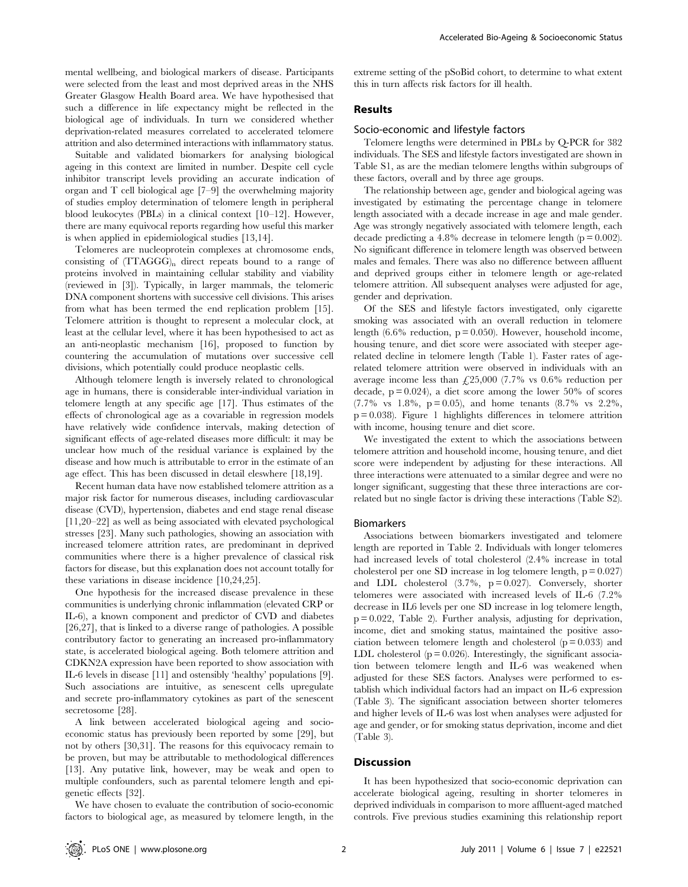mental wellbeing, and biological markers of disease. Participants were selected from the least and most deprived areas in the NHS Greater Glasgow Health Board area. We have hypothesised that such a difference in life expectancy might be reflected in the biological age of individuals. In turn we considered whether deprivation-related measures correlated to accelerated telomere attrition and also determined interactions with inflammatory status.

Suitable and validated biomarkers for analysing biological ageing in this context are limited in number. Despite cell cycle inhibitor transcript levels providing an accurate indication of organ and T cell biological age [7–9] the overwhelming majority of studies employ determination of telomere length in peripheral blood leukocytes (PBLs) in a clinical context [10–12]. However, there are many equivocal reports regarding how useful this marker is when applied in epidemiological studies [13,14].

Telomeres are nucleoprotein complexes at chromosome ends, consisting of  $(TTAGGG)_n$  direct repeats bound to a range of proteins involved in maintaining cellular stability and viability (reviewed in [3]). Typically, in larger mammals, the telomeric DNA component shortens with successive cell divisions. This arises from what has been termed the end replication problem [15]. Telomere attrition is thought to represent a molecular clock, at least at the cellular level, where it has been hypothesised to act as an anti-neoplastic mechanism [16], proposed to function by countering the accumulation of mutations over successive cell divisions, which potentially could produce neoplastic cells.

Although telomere length is inversely related to chronological age in humans, there is considerable inter-individual variation in telomere length at any specific age [17]. Thus estimates of the effects of chronological age as a covariable in regression models have relatively wide confidence intervals, making detection of significant effects of age-related diseases more difficult: it may be unclear how much of the residual variance is explained by the disease and how much is attributable to error in the estimate of an age effect. This has been discussed in detail eleswhere [18,19].

Recent human data have now established telomere attrition as a major risk factor for numerous diseases, including cardiovascular disease (CVD), hypertension, diabetes and end stage renal disease [11,20–22] as well as being associated with elevated psychological stresses [23]. Many such pathologies, showing an association with increased telomere attrition rates, are predominant in deprived communities where there is a higher prevalence of classical risk factors for disease, but this explanation does not account totally for these variations in disease incidence [10,24,25].

One hypothesis for the increased disease prevalence in these communities is underlying chronic inflammation (elevated CRP or IL-6), a known component and predictor of CVD and diabetes [26,27], that is linked to a diverse range of pathologies. A possible contributory factor to generating an increased pro-inflammatory state, is accelerated biological ageing. Both telomere attrition and CDKN2A expression have been reported to show association with IL-6 levels in disease [11] and ostensibly 'healthy' populations [9]. Such associations are intuitive, as senescent cells upregulate and secrete pro-inflammatory cytokines as part of the senescent secretosome [28].

A link between accelerated biological ageing and socioeconomic status has previously been reported by some [29], but not by others [30,31]. The reasons for this equivocacy remain to be proven, but may be attributable to methodological differences [13]. Any putative link, however, may be weak and open to multiple confounders, such as parental telomere length and epigenetic effects [32].

We have chosen to evaluate the contribution of socio-economic factors to biological age, as measured by telomere length, in the extreme setting of the pSoBid cohort, to determine to what extent this in turn affects risk factors for ill health.

# Results

### Socio-economic and lifestyle factors

Telomere lengths were determined in PBLs by Q-PCR for 382 individuals. The SES and lifestyle factors investigated are shown in Table S1, as are the median telomere lengths within subgroups of these factors, overall and by three age groups.

The relationship between age, gender and biological ageing was investigated by estimating the percentage change in telomere length associated with a decade increase in age and male gender. Age was strongly negatively associated with telomere length, each decade predicting a 4.8% decrease in telomere length  $(p = 0.002)$ . No significant difference in telomere length was observed between males and females. There was also no difference between affluent and deprived groups either in telomere length or age-related telomere attrition. All subsequent analyses were adjusted for age, gender and deprivation.

Of the SES and lifestyle factors investigated, only cigarette smoking was associated with an overall reduction in telomere length  $(6.6\%$  reduction,  $p = 0.050$ ). However, household income, housing tenure, and diet score were associated with steeper agerelated decline in telomere length (Table 1). Faster rates of agerelated telomere attrition were observed in individuals with an average income less than  $£25,000$  (7.7% vs 0.6% reduction per decade,  $p = 0.024$ , a diet score among the lower 50% of scores  $(7.7\% \text{ vs } 1.8\%, \text{ p} = 0.05)$ , and home tenants  $(8.7\% \text{ vs } 2.2\%, \text{ p} = 0.05)$  $p = 0.038$ ). Figure 1 highlights differences in telomere attrition with income, housing tenure and diet score.

We investigated the extent to which the associations between telomere attrition and household income, housing tenure, and diet score were independent by adjusting for these interactions. All three interactions were attenuated to a similar degree and were no longer significant, suggesting that these three interactions are correlated but no single factor is driving these interactions (Table S2).

#### Biomarkers

Associations between biomarkers investigated and telomere length are reported in Table 2. Individuals with longer telomeres had increased levels of total cholesterol (2.4% increase in total cholesterol per one SD increase in log telomere length,  $p = 0.027$ and LDL cholesterol  $(3.7\% , p = 0.027)$ . Conversely, shorter telomeres were associated with increased levels of IL-6 (7.2% decrease in IL6 levels per one SD increase in log telomere length, p = 0.022, Table 2). Further analysis, adjusting for deprivation, income, diet and smoking status, maintained the positive association between telomere length and cholesterol  $(p = 0.033)$  and LDL cholesterol  $(p = 0.026)$ . Interestingly, the significant association between telomere length and IL-6 was weakened when adjusted for these SES factors. Analyses were performed to establish which individual factors had an impact on IL-6 expression (Table 3). The significant association between shorter telomeres and higher levels of IL-6 was lost when analyses were adjusted for age and gender, or for smoking status deprivation, income and diet (Table 3).

#### **Discussion**

It has been hypothesized that socio-economic deprivation can accelerate biological ageing, resulting in shorter telomeres in deprived individuals in comparison to more affluent-aged matched controls. Five previous studies examining this relationship report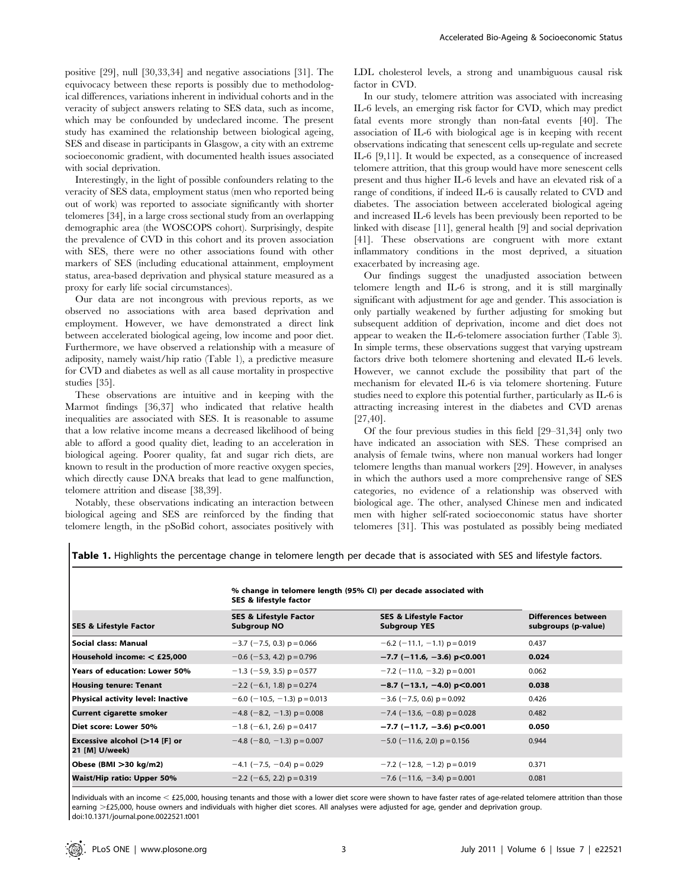positive [29], null [30,33,34] and negative associations [31]. The equivocacy between these reports is possibly due to methodological differences, variations inherent in individual cohorts and in the veracity of subject answers relating to SES data, such as income, which may be confounded by undeclared income. The present study has examined the relationship between biological ageing, SES and disease in participants in Glasgow, a city with an extreme socioeconomic gradient, with documented health issues associated with social deprivation.

Interestingly, in the light of possible confounders relating to the veracity of SES data, employment status (men who reported being out of work) was reported to associate significantly with shorter telomeres [34], in a large cross sectional study from an overlapping demographic area (the WOSCOPS cohort). Surprisingly, despite the prevalence of CVD in this cohort and its proven association with SES, there were no other associations found with other markers of SES (including educational attainment, employment status, area-based deprivation and physical stature measured as a proxy for early life social circumstances).

Our data are not incongrous with previous reports, as we observed no associations with area based deprivation and employment. However, we have demonstrated a direct link between accelerated biological ageing, low income and poor diet. Furthermore, we have observed a relationship with a measure of adiposity, namely waist/hip ratio (Table 1), a predictive measure for CVD and diabetes as well as all cause mortality in prospective studies [35].

These observations are intuitive and in keeping with the Marmot findings [36,37] who indicated that relative health inequalities are associated with SES. It is reasonable to assume that a low relative income means a decreased likelihood of being able to afford a good quality diet, leading to an acceleration in biological ageing. Poorer quality, fat and sugar rich diets, are known to result in the production of more reactive oxygen species, which directly cause DNA breaks that lead to gene malfunction, telomere attrition and disease [38,39].

Notably, these observations indicating an interaction between biological ageing and SES are reinforced by the finding that telomere length, in the pSoBid cohort, associates positively with LDL cholesterol levels, a strong and unambiguous causal risk factor in CVD.

In our study, telomere attrition was associated with increasing IL-6 levels, an emerging risk factor for CVD, which may predict fatal events more strongly than non-fatal events [40]. The association of IL-6 with biological age is in keeping with recent observations indicating that senescent cells up-regulate and secrete IL-6 [9,11]. It would be expected, as a consequence of increased telomere attrition, that this group would have more senescent cells present and thus higher IL-6 levels and have an elevated risk of a range of conditions, if indeed IL-6 is causally related to CVD and diabetes. The association between accelerated biological ageing and increased IL-6 levels has been previously been reported to be linked with disease [11], general health [9] and social deprivation [41]. These observations are congruent with more extant inflammatory conditions in the most deprived, a situation exacerbated by increasing age.

Our findings suggest the unadjusted association between telomere length and IL-6 is strong, and it is still marginally significant with adjustment for age and gender. This association is only partially weakened by further adjusting for smoking but subsequent addition of deprivation, income and diet does not appear to weaken the IL-6-telomere association further (Table 3). In simple terms, these observations suggest that varying upstream factors drive both telomere shortening and elevated IL-6 levels. However, we cannot exclude the possibility that part of the mechanism for elevated IL-6 is via telomere shortening. Future studies need to explore this potential further, particularly as IL-6 is attracting increasing interest in the diabetes and CVD arenas [27,40].

Of the four previous studies in this field [29–31,34] only two have indicated an association with SES. These comprised an analysis of female twins, where non manual workers had longer telomere lengths than manual workers [29]. However, in analyses in which the authors used a more comprehensive range of SES categories, no evidence of a relationship was observed with biological age. The other, analysed Chinese men and indicated men with higher self-rated socioeconomic status have shorter telomeres [31]. This was postulated as possibly being mediated

Table 1. Highlights the percentage change in telomere length per decade that is associated with SES and lifestyle factors.

| <b>SES &amp; Lifestyle Factor</b>               | % change in telomere length (95% CI) per decade associated with<br>SES & lifestyle factor |                                                          |                                            |
|-------------------------------------------------|-------------------------------------------------------------------------------------------|----------------------------------------------------------|--------------------------------------------|
|                                                 | <b>SES &amp; Lifestyle Factor</b><br><b>Subgroup NO</b>                                   | <b>SES &amp; Lifestyle Factor</b><br><b>Subgroup YES</b> | Differences between<br>subgroups (p-value) |
| Social class: Manual                            | $-3.7$ ( $-7.5$ , 0.3) p = 0.066                                                          | $-6.2$ (-11.1, -1.1) p = 0.019                           | 0.437                                      |
| Household income: $<$ £25,000                   | $-0.6$ (-5.3, 4.2) p = 0.796                                                              | $-7.7$ (-11.6, -3.6) p<0.001                             | 0.024                                      |
| Years of education: Lower 50%                   | $-1.3$ (-5.9, 3.5) p = 0.577                                                              | $-7.2$ (-11.0, -3.2) p = 0.001                           | 0.062                                      |
| <b>Housing tenure: Tenant</b>                   | $-2.2$ (-6.1, 1.8) p = 0.274                                                              | $-8.7$ (-13.1, -4.0) p<0.001                             | 0.038                                      |
| Physical activity level: Inactive               | $-6.0$ (-10.5, -1.3) p = 0.013                                                            | $-3.6$ ( $-7.5$ , 0.6) p = 0.092                         | 0.426                                      |
| <b>Current cigarette smoker</b>                 | $-4.8$ (-8.2, -1.3) p = 0.008                                                             | $-7.4$ (-13.6, -0.8) p = 0.028                           | 0.482                                      |
| Diet score: Lower 50%                           | $-1.8$ (-6.1, 2.6) p = 0.417                                                              | $-7.7$ (-11.7, -3.6) p<0.001                             | 0.050                                      |
| Excessive alcohol (>14 [F] or<br>21 [M] U/week) | $-4.8$ (-8.0, -1.3) p = 0.007                                                             | $-5.0$ (-11.6, 2.0) p = 0.156                            | 0.944                                      |
| Obese (BMI >30 kg/m2)                           | $-4.1$ (-7.5, -0.4) p = 0.029                                                             | $-7.2$ (-12.8, -1.2) p = 0.019                           | 0.371                                      |
| Waist/Hip ratio: Upper 50%                      | $-2.2$ (-6.5, 2.2) p = 0.319                                                              | $-7.6$ (-11.6, -3.4) p = 0.001                           | 0.081                                      |

Individuals with an income  $<$  £25,000, housing tenants and those with a lower diet score were shown to have faster rates of age-related telomere attrition than those earning >£25,000, house owners and individuals with higher diet scores. All analyses were adjusted for age, gender and deprivation group. doi:10.1371/journal.pone.0022521.t001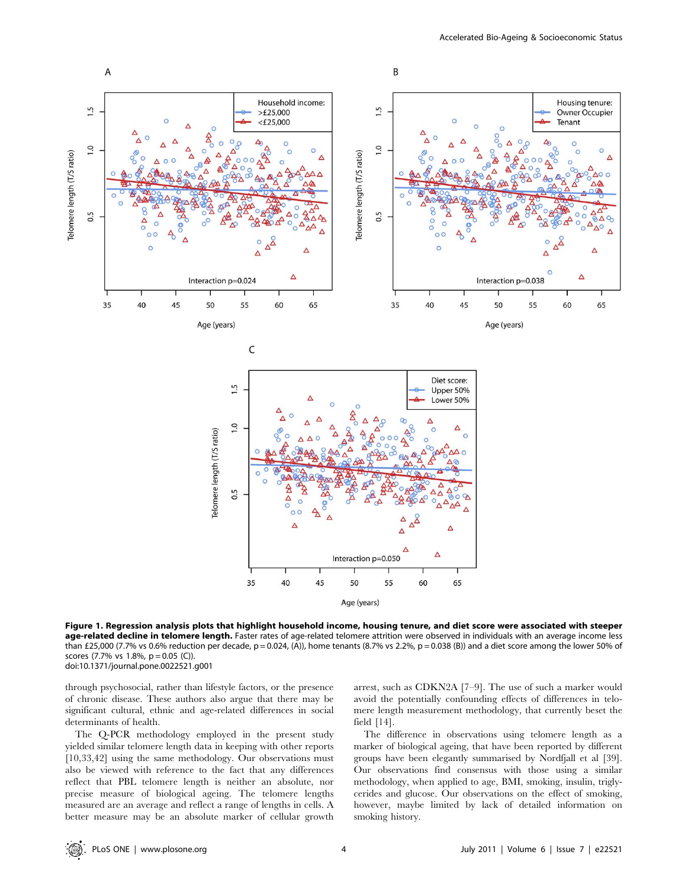

Figure 1. Regression analysis plots that highlight household income, housing tenure, and diet score were associated with steeper age-related decline in telomere length. Faster rates of age-related telomere attrition were observed in individuals with an average income less than £25,000 (7.7% vs 0.6% reduction per decade, p = 0.024, (A)), home tenants (8.7% vs 2.2%, p = 0.038 (B)) and a diet score among the lower 50% of scores (7.7% vs 1.8%, p = 0.05 (C)). doi:10.1371/journal.pone.0022521.g001

through psychosocial, rather than lifestyle factors, or the presence of chronic disease. These authors also argue that there may be significant cultural, ethnic and age-related differences in social determinants of health.

The Q-PCR methodology employed in the present study yielded similar telomere length data in keeping with other reports [10,33,42] using the same methodology. Our observations must also be viewed with reference to the fact that any differences reflect that PBL telomere length is neither an absolute, nor precise measure of biological ageing. The telomere lengths measured are an average and reflect a range of lengths in cells. A better measure may be an absolute marker of cellular growth arrest, such as CDKN2A [7–9]. The use of such a marker would avoid the potentially confounding effects of differences in telomere length measurement methodology, that currently beset the field [14].

The difference in observations using telomere length as a marker of biological ageing, that have been reported by different groups have been elegantly summarised by Nordfjall et al [39]. Our observations find consensus with those using a similar methodology, when applied to age, BMI, smoking, insulin, triglycerides and glucose. Our observations on the effect of smoking, however, maybe limited by lack of detailed information on smoking history.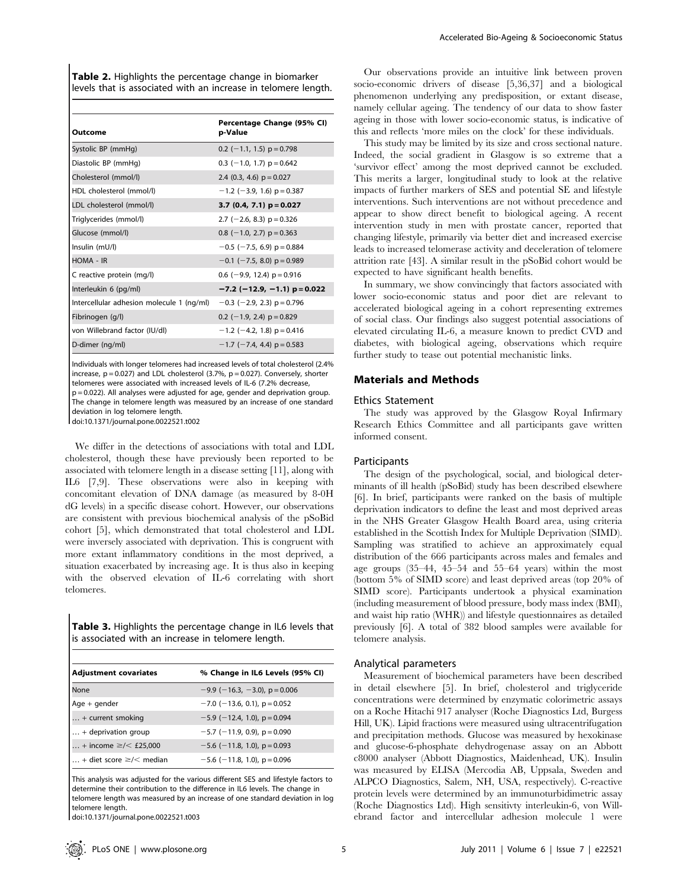Table 2. Highlights the percentage change in biomarker levels that is associated with an increase in telomere length.

| Outcome                                   | Percentage Change (95% CI)<br>p-Value |
|-------------------------------------------|---------------------------------------|
| Systolic BP (mmHg)                        | $0.2$ (-1.1, 1.5) $p = 0.798$         |
| Diastolic BP (mmHg)                       | $0.3$ (-1.0, 1.7) $p = 0.642$         |
| Cholesterol (mmol/l)                      | 2.4 (0.3, 4.6) $p = 0.027$            |
| HDL cholesterol (mmol/l)                  | $-1.2$ (-3.9, 1.6) p = 0.387          |
| LDL cholesterol (mmol/l)                  | 3.7 (0.4, 7.1) $p = 0.027$            |
| Triglycerides (mmol/l)                    | 2.7 ( $-2.6$ , 8.3) p = 0.326         |
| Glucose (mmol/l)                          | $0.8$ (-1.0, 2.7) $p = 0.363$         |
| Insulin (mU/l)                            | $-0.5$ ( $-7.5$ , 6.9) p = 0.884      |
| HOMA - IR                                 | $-0.1$ (-7.5, 8.0) p = 0.989          |
| C reactive protein (mg/l)                 | 0.6 ( $-9.9$ , 12.4) $p = 0.916$      |
| Interleukin 6 (pg/ml)                     | $-7.2$ (-12.9, -1.1) p = 0.022        |
| Intercellular adhesion molecule 1 (ng/ml) | $-0.3$ (-2.9, 2.3) p = 0.796          |
| Fibrinogen (g/l)                          | 0.2 ( $-1.9$ , 2.4) p = 0.829         |
| von Willebrand factor (IU/dl)             | $-1.2$ (-4.2, 1.8) p = 0.416          |
| D-dimer (ng/ml)                           | $-1.7$ (-7.4, 4.4) p = 0.583          |

Individuals with longer telomeres had increased levels of total cholesterol (2.4% increase,  $p = 0.027$ ) and LDL cholesterol (3.7%,  $p = 0.027$ ). Conversely, shorter telomeres were associated with increased levels of IL-6 (7.2% decrease,  $|p=0.022$ ). All analyses were adjusted for age, gender and deprivation group. The change in telomere length was measured by an increase of one standard deviation in log telomere length.

doi:10.1371/journal.pone.0022521.t002

We differ in the detections of associations with total and LDL cholesterol, though these have previously been reported to be associated with telomere length in a disease setting [11], along with IL6 [7,9]. These observations were also in keeping with concomitant elevation of DNA damage (as measured by 8-0H dG levels) in a specific disease cohort. However, our observations are consistent with previous biochemical analysis of the pSoBid cohort [5], which demonstrated that total cholesterol and LDL were inversely associated with deprivation. This is congruent with more extant inflammatory conditions in the most deprived, a situation exacerbated by increasing age. It is thus also in keeping with the observed elevation of IL-6 correlating with short telomeres.

Table 3. Highlights the percentage change in IL6 levels that is associated with an increase in telomere length.

| <b>Adjustment covariates</b>             | % Change in IL6 Levels (95% CI) |  |
|------------------------------------------|---------------------------------|--|
| None                                     | $-9.9$ (-16.3, -3.0), p = 0.006 |  |
| $Age + gender$                           | $-7.0$ (-13.6, 0.1), p = 0.052  |  |
| $$ + current smoking                     | $-5.9$ (-12.4, 1.0), p = 0.094  |  |
| $\ldots$ + deprivation group             | $-5.7$ (-11.9, 0.9), p = 0.090  |  |
| + income $\ge$ /< £25,000                | $-5.6$ (-11.8, 1.0), p = 0.093  |  |
| $\vert $ + diet score $\ge$ / $<$ median | $-5.6$ (-11.8, 1.0), p = 0.096  |  |

This analysis was adjusted for the various different SES and lifestyle factors to determine their contribution to the difference in IL6 levels. The change in telomere length was measured by an increase of one standard deviation in log telomere length.

doi:10.1371/journal.pone.0022521.t003

Our observations provide an intuitive link between proven socio-economic drivers of disease [5,36,37] and a biological phenomenon underlying any predisposition, or extant disease, namely cellular ageing. The tendency of our data to show faster ageing in those with lower socio-economic status, is indicative of this and reflects 'more miles on the clock' for these individuals.

This study may be limited by its size and cross sectional nature. Indeed, the social gradient in Glasgow is so extreme that a 'survivor effect' among the most deprived cannot be excluded. This merits a larger, longitudinal study to look at the relative impacts of further markers of SES and potential SE and lifestyle interventions. Such interventions are not without precedence and appear to show direct benefit to biological ageing. A recent intervention study in men with prostate cancer, reported that changing lifestyle, primarily via better diet and increased exercise leads to increased telomerase activity and deceleration of telomere attrition rate [43]. A similar result in the pSoBid cohort would be expected to have significant health benefits.

In summary, we show convincingly that factors associated with lower socio-economic status and poor diet are relevant to accelerated biological ageing in a cohort representing extremes of social class. Our findings also suggest potential associations of elevated circulating IL-6, a measure known to predict CVD and diabetes, with biological ageing, observations which require further study to tease out potential mechanistic links.

## Materials and Methods

#### Ethics Statement

The study was approved by the Glasgow Royal Infirmary Research Ethics Committee and all participants gave written informed consent.

#### **Participants**

The design of the psychological, social, and biological determinants of ill health (pSoBid) study has been described elsewhere [6]. In brief, participants were ranked on the basis of multiple deprivation indicators to define the least and most deprived areas in the NHS Greater Glasgow Health Board area, using criteria established in the Scottish Index for Multiple Deprivation (SIMD). Sampling was stratified to achieve an approximately equal distribution of the 666 participants across males and females and age groups (35–44, 45–54 and 55–64 years) within the most (bottom 5% of SIMD score) and least deprived areas (top 20% of SIMD score). Participants undertook a physical examination (including measurement of blood pressure, body mass index (BMI), and waist hip ratio (WHR)) and lifestyle questionnaires as detailed previously [6]. A total of 382 blood samples were available for telomere analysis.

#### Analytical parameters

Measurement of biochemical parameters have been described in detail elsewhere [5]. In brief, cholesterol and triglyceride concentrations were determined by enzymatic colorimetric assays on a Roche Hitachi 917 analyser (Roche Diagnostics Ltd, Burgess Hill, UK). Lipid fractions were measured using ultracentrifugation and precipitation methods. Glucose was measured by hexokinase and glucose-6-phosphate dehydrogenase assay on an Abbott c8000 analyser (Abbott Diagnostics, Maidenhead, UK). Insulin was measured by ELISA (Mercodia AB, Uppsala, Sweden and ALPCO Diagnostics, Salem, NH, USA, respectively). C-reactive protein levels were determined by an immunoturbidimetric assay (Roche Diagnostics Ltd). High sensitivty interleukin-6, von Willebrand factor and intercellular adhesion molecule 1 were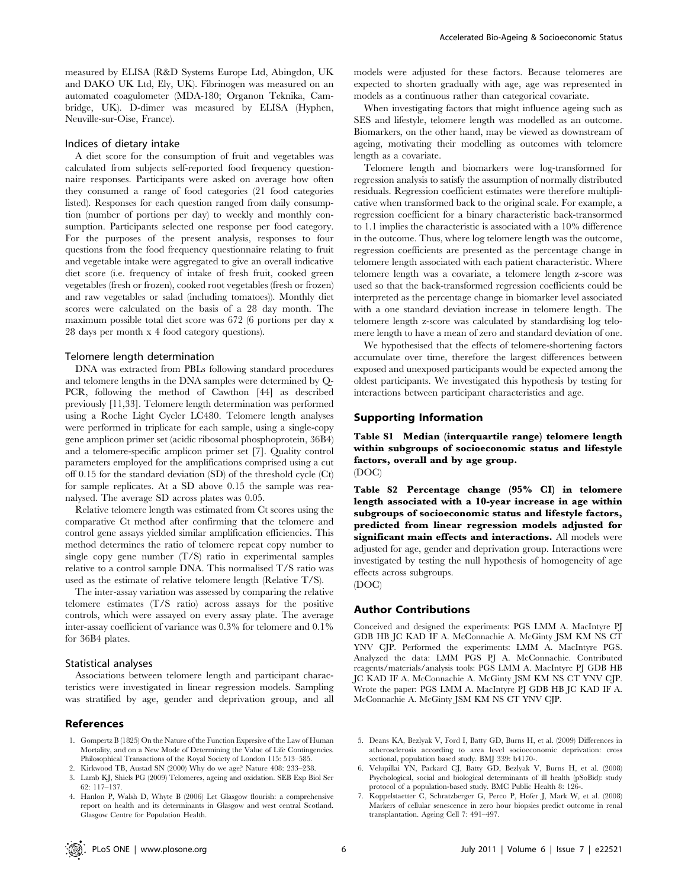measured by ELISA (R&D Systems Europe Ltd, Abingdon, UK and DAKO UK Ltd, Ely, UK). Fibrinogen was measured on an automated coagulometer (MDA-180; Organon Teknika, Cambridge, UK). D-dimer was measured by ELISA (Hyphen, Neuville-sur-Oise, France).

#### Indices of dietary intake

A diet score for the consumption of fruit and vegetables was calculated from subjects self-reported food frequency questionnaire responses. Participants were asked on average how often they consumed a range of food categories (21 food categories listed). Responses for each question ranged from daily consumption (number of portions per day) to weekly and monthly consumption. Participants selected one response per food category. For the purposes of the present analysis, responses to four questions from the food frequency questionnaire relating to fruit and vegetable intake were aggregated to give an overall indicative diet score (i.e. frequency of intake of fresh fruit, cooked green vegetables (fresh or frozen), cooked root vegetables (fresh or frozen) and raw vegetables or salad (including tomatoes)). Monthly diet scores were calculated on the basis of a 28 day month. The maximum possible total diet score was 672 (6 portions per day x 28 days per month x 4 food category questions).

#### Telomere length determination

DNA was extracted from PBLs following standard procedures and telomere lengths in the DNA samples were determined by Q-PCR, following the method of Cawthon [44] as described previously [11,33]. Telomere length determination was performed using a Roche Light Cycler LC480. Telomere length analyses were performed in triplicate for each sample, using a single-copy gene amplicon primer set (acidic ribosomal phosphoprotein, 36B4) and a telomere-specific amplicon primer set [7]. Quality control parameters employed for the amplifications comprised using a cut off 0.15 for the standard deviation (SD) of the threshold cycle (Ct) for sample replicates. At a SD above 0.15 the sample was reanalysed. The average SD across plates was 0.05.

Relative telomere length was estimated from Ct scores using the comparative Ct method after confirming that the telomere and control gene assays yielded similar amplification efficiencies. This method determines the ratio of telomere repeat copy number to single copy gene number (T/S) ratio in experimental samples relative to a control sample DNA. This normalised T/S ratio was used as the estimate of relative telomere length (Relative T/S).

The inter-assay variation was assessed by comparing the relative telomere estimates (T/S ratio) across assays for the positive controls, which were assayed on every assay plate. The average inter-assay coefficient of variance was 0.3% for telomere and 0.1% for 36B4 plates.

#### Statistical analyses

Associations between telomere length and participant characteristics were investigated in linear regression models. Sampling was stratified by age, gender and deprivation group, and all

#### References

- 1. Gompertz B (1825) On the Nature of the Function Expresive of the Law of Human Mortality, and on a New Mode of Determining the Value of Life Contingencies. Philosophical Transactions of the Royal Society of London 115: 513–585.
- 2. Kirkwood TB, Austad SN (2000) Why do we age? Nature 408: 233–238.
- 3. Lamb KJ, Shiels PG (2009) Telomeres, ageing and oxidation. SEB Exp Biol Ser 62: 117–137.
- 4. Hanlon P, Walsh D, Whyte B (2006) Let Glasgow flourish: a comprehensive report on health and its determinants in Glasgow and west central Scotland. Glasgow Centre for Population Health.

models were adjusted for these factors. Because telomeres are expected to shorten gradually with age, age was represented in models as a continuous rather than categorical covariate.

When investigating factors that might influence ageing such as SES and lifestyle, telomere length was modelled as an outcome. Biomarkers, on the other hand, may be viewed as downstream of ageing, motivating their modelling as outcomes with telomere length as a covariate.

Telomere length and biomarkers were log-transformed for regression analysis to satisfy the assumption of normally distributed residuals. Regression coefficient estimates were therefore multiplicative when transformed back to the original scale. For example, a regression coefficient for a binary characteristic back-transormed to 1.1 implies the characteristic is associated with a 10% difference in the outcome. Thus, where log telomere length was the outcome, regression coefficients are presented as the percentage change in telomere length associated with each patient characteristic. Where telomere length was a covariate, a telomere length z-score was used so that the back-transformed regression coefficients could be interpreted as the percentage change in biomarker level associated with a one standard deviation increase in telomere length. The telomere length z-score was calculated by standardising log telomere length to have a mean of zero and standard deviation of one.

We hypothesised that the effects of telomere-shortening factors accumulate over time, therefore the largest differences between exposed and unexposed participants would be expected among the oldest participants. We investigated this hypothesis by testing for interactions between participant characteristics and age.

## Supporting Information

Table S1 Median (interquartile range) telomere length within subgroups of socioeconomic status and lifestyle factors, overall and by age group. (DOC)

Table S2 Percentage change (95% CI) in telomere length associated with a 10-year increase in age within subgroups of socioeconomic status and lifestyle factors, predicted from linear regression models adjusted for significant main effects and interactions. All models were adjusted for age, gender and deprivation group. Interactions were investigated by testing the null hypothesis of homogeneity of age effects across subgroups. (DOC)

# Author Contributions

Conceived and designed the experiments: PGS LMM A. MacIntyre PJ GDB HB JC KAD IF A. McConnachie A. McGinty JSM KM NS CT YNV CJP. Performed the experiments: LMM A. MacIntyre PGS. Analyzed the data: LMM PGS PJ A. McConnachie. Contributed reagents/materials/analysis tools: PGS LMM A. MacIntyre PJ GDB HB JC KAD IF A. McConnachie A. McGinty JSM KM NS CT YNV CJP. Wrote the paper: PGS LMM A. MacIntyre PJ GDB HB JC KAD IF A. McConnachie A. McGinty JSM KM NS CT YNV CJP.

- 5. Deans KA, Bezlyak V, Ford I, Batty GD, Burns H, et al. (2009) Differences in atherosclerosis according to area level socioeconomic deprivation: cross sectional, population based study. BMJ 339: b4170-.
- 6. Velupillai YN, Packard CJ, Batty GD, Bezlyak V, Burns H, et al. (2008) Psychological, social and biological determinants of ill health (pSoBid): study protocol of a population-based study. BMC Public Health 8: 126-.
- 7. Koppelstaetter C, Schratzberger G, Perco P, Hofer J, Mark W, et al. (2008) Markers of cellular senescence in zero hour biopsies predict outcome in renal transplantation. Ageing Cell 7: 491–497.